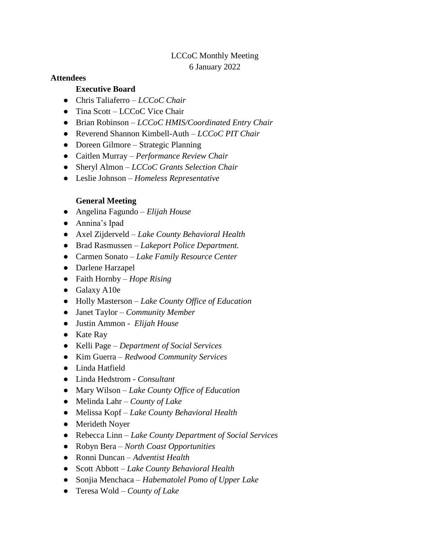# LCCoC Monthly Meeting 6 January 2022

#### **Attendees**

### **Executive Board**

- Chris Taliaferro *LCCoC Chair*
- Tina Scott LCCoC Vice Chair
- Brian Robinson *LCCoC HMIS/Coordinated Entry Chair*
- Reverend Shannon Kimbell-Auth *LCCoC PIT Chair*
- Doreen Gilmore Strategic Planning
- Caitlen Murray *Performance Review Chair*
- Sheryl Almon *LCCoC Grants Selection Chair*
- Leslie Johnson *Homeless Representative*

# **General Meeting**

- Angelina Fagundo *Elijah House*
- Annina's Ipad
- Axel Zijderveld *Lake County Behavioral Health*
- Brad Rasmussen *Lakeport Police Department.*
- Carmen Sonato *Lake Family Resource Center*
- Darlene Harzapel
- Faith Hornby *Hope Rising*
- Galaxy A10e
- Holly Masterson *Lake County Office of Education*
- Janet Taylor *Community Member*
- Justin Ammon *Elijah House*
- Kate Ray
- Kelli Page *Department of Social Services*
- Kim Guerra *Redwood Community Services*
- Linda Hatfield
- Linda Hedstrom *Consultant*
- Mary Wilson *Lake County Office of Education*
- Melinda Lahr *County of Lake*
- Melissa Kopf *Lake County Behavioral Health*
- Merideth Noyer
- Rebecca Linn *Lake County Department of Social Services*
- Robyn Bera *North Coast Opportunities*
- Ronni Duncan *Adventist Health*
- Scott Abbott *Lake County Behavioral Health*
- Sonjia Menchaca *Habematolel Pomo of Upper Lake*
- Teresa Wold *County of Lake*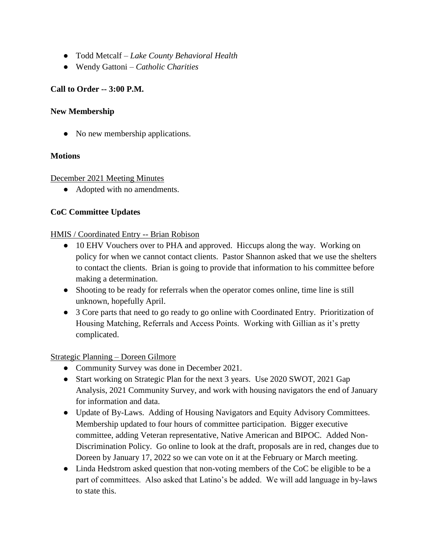- Todd Metcalf *Lake County Behavioral Health*
- Wendy Gattoni *Catholic Charities*

### **Call to Order -- 3:00 P.M.**

#### **New Membership**

• No new membership applications.

#### **Motions**

December 2021 Meeting Minutes

• Adopted with no amendments.

# **CoC Committee Updates**

HMIS / Coordinated Entry -- Brian Robison

- 10 EHV Vouchers over to PHA and approved. Hiccups along the way. Working on policy for when we cannot contact clients. Pastor Shannon asked that we use the shelters to contact the clients. Brian is going to provide that information to his committee before making a determination.
- Shooting to be ready for referrals when the operator comes online, time line is still unknown, hopefully April.
- 3 Core parts that need to go ready to go online with Coordinated Entry. Prioritization of Housing Matching, Referrals and Access Points. Working with Gillian as it's pretty complicated.

#### Strategic Planning – Doreen Gilmore

- Community Survey was done in December 2021.
- Start working on Strategic Plan for the next 3 years. Use 2020 SWOT, 2021 Gap Analysis, 2021 Community Survey, and work with housing navigators the end of January for information and data.
- Update of By-Laws. Adding of Housing Navigators and Equity Advisory Committees. Membership updated to four hours of committee participation. Bigger executive committee, adding Veteran representative, Native American and BIPOC. Added Non-Discrimination Policy. Go online to look at the draft, proposals are in red, changes due to Doreen by January 17, 2022 so we can vote on it at the February or March meeting.
- Linda Hedstrom asked question that non-voting members of the CoC be eligible to be a part of committees. Also asked that Latino's be added. We will add language in by-laws to state this.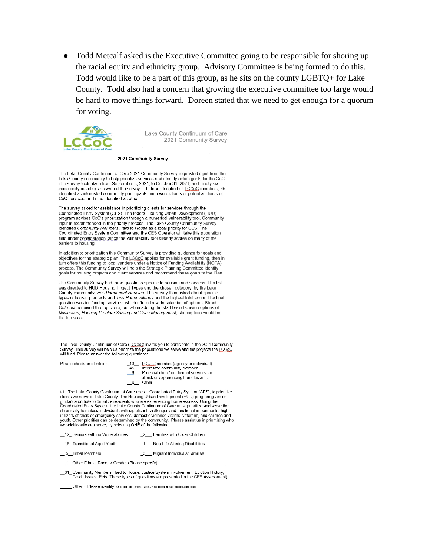Todd Metcalf asked is the Executive Committee going to be responsible for shoring up  $\bullet$ the racial equity and ethnicity group. Advisory Committee is being formed to do this. Todd would like to be a part of this group, as he sits on the county LGBTQ+ for Lake County. Todd also had a concern that growing the executive committee too large would be hard to move things forward. Doreen stated that we need to get enough for a quorum for voting.



Lake County Continuum of Care 2021 Community Survey

#### $\mathbf{I}$ 2021 Community Survey

The Lake County Continuum of Care 2021 Community Survey requested input from the Lake County community to help prioritize services and identify action goals for the CoC. The survey took place from September 3, 2021, to October 31, 2021, and ninety-six community members answered the survey. Thirteen identified as LCCoC members, 45<br>identified as interested community participants, nine were clients or potential clients of CoC services, and nine identified as other.

The survey asked for assistance in prioritizing clients for services through the Coordinated Entry System (CES). The federal Housing Urban Development (HUD)<br>program advises CoC's prioritization through a numerical vulnerability tool. Community input is recommended in the priority process. The Lake County Community Survey identified Community Members Hard to House as a local priority for CES. The Coordinated Entry System Committee and the CES Operator will take this population field under consideration, since the vulnerability tool already scores on many of the barriers to housing.

In addition to prioritization this Community Survey is providing guidance for goals and objectives for the strategic plan. The LCCoC applies for available grant funding, then in turn offers this funding to local venders under a Notice of Funding Availability (NOFA) process. The Community Survey will help the Strategic Planning Committee identify goals for housing projects and client services and recommend these goals to the Plan.

The Community Survey had three questions specific to housing and services. The fist was directed to HUD Housing Project Types and the chosen category, by the Lake County community, was Permanent Housing. The survey then asked about specific types of housing projects and Tiny Home Villages had the highest total score. The final question was for funding services, which offered a wide selection of options. Street Outreach received the top score, but when adding the staff-based service options of Navigation, Housing Problem Solving and Case Management, staffing time would be the top score.

The Lake County Continuum of Care (LCCoC) invites you to participate in the 2021 Community Survey. This survey will help us prioritize the populations we serve and the projects the LCCoC will fund. Please answer the following questions:

Please check an identifier

\_\_ LCCoC member (agency or individual)<br>\_\_ Interested community member  $\frac{-45}{9}$ Potential client/ or client of services for at-risk or experiencing homelessness 9 Other

#1. The Lake County Continuum of Care uses a Coordinated Entry System (CES), to prioritize The Housing Urban Development (HUD) program gives us<br>guidance on how to prioritize residents who are experiencing homelessness. Using the<br>guidance on how to prioritize residents who are experiencing homelessness. Using the chronically homeless, individuals with significant challenges and functional impairments, high utilizers of crisis or emergency services, domestic violence victims, veterans, and children and<br>youth. Other priorities can be determined by the community. Please assist us in prioritizing who<br>we additionally can serve, b

|  | 12 Seniors with no Vulnerabilities | Families with Older Children |  |  |
|--|------------------------------------|------------------------------|--|--|
|  |                                    |                              |  |  |

\_18\_Transitional Aged Youth 1\_ Non-Life Altering Disabilities

\_5\_Tribal Members 3 Migrant Individuals/Families

\_ 1\_Other Ethnic, Race or Gender (Please specify)

\_31\_Community Members Hard to House: Justice System Involvement, Eviction History, Credit Issues, Pets (These types of questions are presented in the CES Assessment)

Other - Please identify: One did not answer, and 22 responses had multiple choices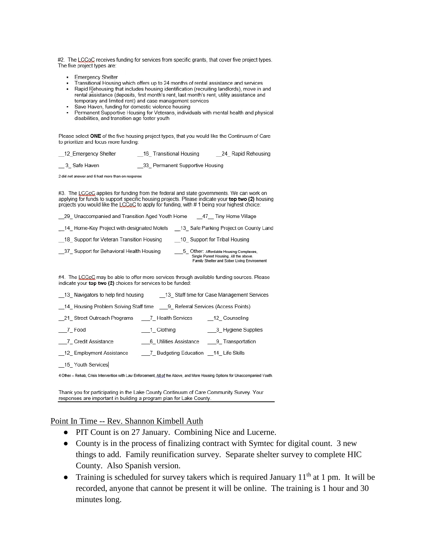#2. The LCCoC receives funding for services from specific grants, that cover five project types. The five project types are:

- Emergency Shelter
- Transitional Housing which offers up to 24 months of rental assistance and services
- Rapid Fiehousing that includes housing identification (recruiting landlords), move in and rental assistance (deposits, first month's rent, last month's rent, utility assistance and temporary and limited rent) and case management services
- Save Haven, funding for domestic violence housing
- Permanent Supportive Housing for Veterans, individuals with mental health and physical disabilities, and transition age foster youth

Please select ONE of the five housing project types, that you would like the Continuum of Care to prioritize and focus more funding:

| 12_Emergency Shelter | 16 Transitional Housing | _24_ Rapid Rehousing |
|----------------------|-------------------------|----------------------|
|----------------------|-------------------------|----------------------|

3 Safe Haven 33 Permanent Supportive Housing

2 did not answer and 6 had more than on response

#3. The LCCoC applies for funding from the federal and state governments. We can work on applying for funds to support specific housing projects. Please indicate your top two (2) housing<br>projects you would like the LCCoC to apply for funding, with #1 being your highest choice:

| 29 Unaccompanied and Transition Aged Youth Home 47 Tiny Home Village                                                                                       |                                                                                                                                |  |  |  |  |  |  |
|------------------------------------------------------------------------------------------------------------------------------------------------------------|--------------------------------------------------------------------------------------------------------------------------------|--|--|--|--|--|--|
| 14 Home-Key Project with designated Motels                                                                                                                 | 13 Safe Parking Project on County Land                                                                                         |  |  |  |  |  |  |
| 18 Support for Veteran Transition Housing                                                                                                                  | 10 Support for Tribal Housing                                                                                                  |  |  |  |  |  |  |
| 37 Support for Behavioral Health Housing                                                                                                                   | 5 Other: Affordable Housing Complexes.<br>Single Parent Housing, All the above.<br>Family Shelter and Sober Living Environment |  |  |  |  |  |  |
| #4. The LCCoC may be able to offer more services through available funding sources. Please<br>indicate your top two (2) choices for services to be funded: |                                                                                                                                |  |  |  |  |  |  |
| 13 Navigators to help find housing                                                                                                                         | 13 Staff time for Case Management Services                                                                                     |  |  |  |  |  |  |

| 14 Housing Problem Solving Staff time 9 Referral Services (Access Points) |                                         |                    |
|---------------------------------------------------------------------------|-----------------------------------------|--------------------|
| 21 Street Outreach Programs 7 Health Services                             |                                         | 12 Counseling      |
| 7 Food                                                                    | 1 Clothing                              | 3 Hygiene Supplies |
| 7 Credit Assistance                                                       | 6 Utilities Assistance 9 Transportation |                    |
| 12 Employment Assistance                                                  | 7 Budgeting Education 14 Life Skills    |                    |
| 15 Youth Services                                                         |                                         |                    |

4 Other - Rehab, Crisis Intervention with Law Enforcement, All of the Above, and More Housing Options for Unaccompanied Youth.

Thank you for participating in the Lake County Continuum of Care Community Survey. Your responses are important in building a program plan for Lake County.

#### Point In Time -- Rev. Shannon Kimbell Auth

- PIT Count is on 27 January. Combining Nice and Lucerne.
- County is in the process of finalizing contract with Symtec for digital count. 3 new things to add. Family reunification survey. Separate shelter survey to complete HIC County. Also Spanish version.
- Training is scheduled for survey takers which is required January  $11<sup>th</sup>$  at 1 pm. It will be recorded, anyone that cannot be present it will be online. The training is 1 hour and 30 minutes long.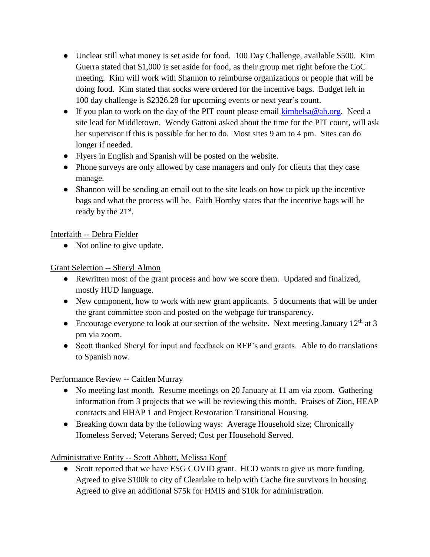- Unclear still what money is set aside for food. 100 Day Challenge, available \$500. Kim Guerra stated that \$1,000 is set aside for food, as their group met right before the CoC meeting. Kim will work with Shannon to reimburse organizations or people that will be doing food. Kim stated that socks were ordered for the incentive bags. Budget left in 100 day challenge is \$2326.28 for upcoming events or next year's count.
- If you plan to work on the day of the PIT count please email [kimbelsa@ah.org.](mailto:kimbelsa@ah.org) Need a site lead for Middletown. Wendy Gattoni asked about the time for the PIT count, will ask her supervisor if this is possible for her to do. Most sites 9 am to 4 pm. Sites can do longer if needed.
- Flyers in English and Spanish will be posted on the website.
- Phone surveys are only allowed by case managers and only for clients that they case manage.
- Shannon will be sending an email out to the site leads on how to pick up the incentive bags and what the process will be. Faith Hornby states that the incentive bags will be ready by the  $21<sup>st</sup>$ .

Interfaith -- Debra Fielder

• Not online to give update.

Grant Selection -- Sheryl Almon

- Rewritten most of the grant process and how we score them. Updated and finalized, mostly HUD language.
- New component, how to work with new grant applicants. 5 documents that will be under the grant committee soon and posted on the webpage for transparency.
- Encourage everyone to look at our section of the website. Next meeting January  $12<sup>th</sup>$  at 3 pm via zoom.
- Scott thanked Sheryl for input and feedback on RFP's and grants. Able to do translations to Spanish now.

Performance Review -- Caitlen Murray

- No meeting last month. Resume meetings on 20 January at 11 am via zoom. Gathering information from 3 projects that we will be reviewing this month. Praises of Zion, HEAP contracts and HHAP 1 and Project Restoration Transitional Housing.
- Breaking down data by the following ways: Average Household size; Chronically Homeless Served; Veterans Served; Cost per Household Served.

Administrative Entity -- Scott Abbott, Melissa Kopf

• Scott reported that we have ESG COVID grant. HCD wants to give us more funding. Agreed to give \$100k to city of Clearlake to help with Cache fire survivors in housing. Agreed to give an additional \$75k for HMIS and \$10k for administration.